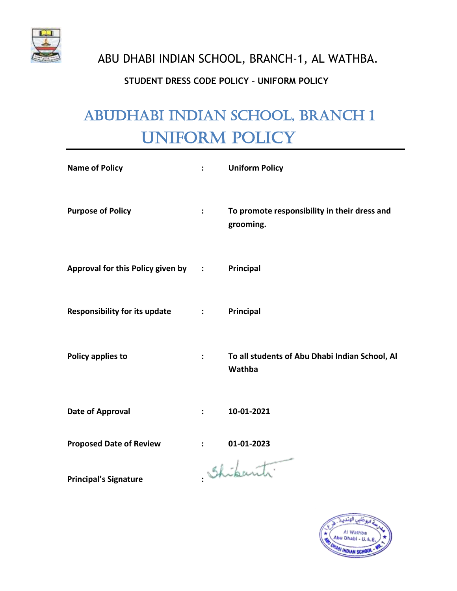

# **STUDENT DRESS CODE POLICY – UNIFORM POLICY**

# ABUDHABI INDIAN SCHOOL, BRANCH 1 UNIFORM POLICY

| <b>Name of Policy</b>                | ÷                        | <b>Uniform Policy</b>                                     |
|--------------------------------------|--------------------------|-----------------------------------------------------------|
| <b>Purpose of Policy</b>             | $\ddot{\phantom{a}}$     | To promote responsibility in their dress and<br>grooming. |
| Approval for this Policy given by :  |                          | Principal                                                 |
| <b>Responsibility for its update</b> | <b>Contract Contract</b> | Principal                                                 |
| Policy applies to                    | $\ddot{\cdot}$           | To all students of Abu Dhabi Indian School, Al<br>Wathba  |
| <b>Date of Approval</b>              | $\ddot{\phantom{a}}$     | 10-01-2021                                                |
| <b>Proposed Date of Review</b>       |                          | 01-01-2023                                                |
| <b>Principal's Signature</b>         |                          | Shipants.                                                 |

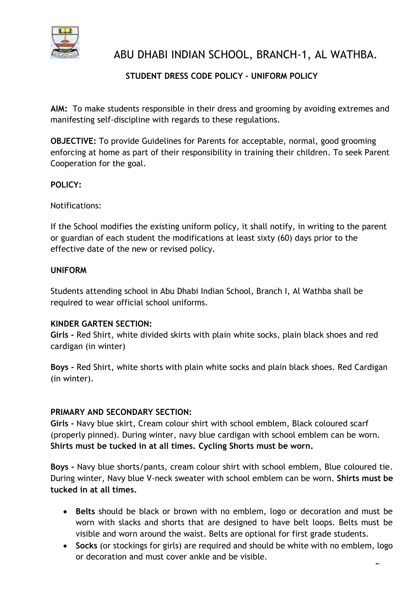

# **STUDENT DRESS CODE POLICY – UNIFORM POLICY**

**AIM:** To make students responsible in their dress and grooming by avoiding extremes and manifesting self-discipline with regards to these regulations.

**OBJECTIVE:** To provide Guidelines for Parents for acceptable, normal, good grooming enforcing at home as part of their responsibility in training their children. To seek Parent Cooperation for the goal.

# **POLICY:**

Notifications:

If the School modifies the existing uniform policy, it shall notify, in writing to the parent or guardian of each student the modifications at least sixty (60) days prior to the effective date of the new or revised policy.

#### **UNIFORM**

Students attending school in Abu Dhabi Indian School, Branch I, Al Wathba shall be required to wear official school uniforms.

#### **KINDER GARTEN SECTION:**

**Girls -** Red Shirt, white divided skirts with plain white socks, plain black shoes and red cardigan (in winter)

**Boys -** Red Shirt, white shorts with plain white socks and plain black shoes. Red Cardigan (in winter).

# **PRIMARY AND SECONDARY SECTION:**

**Girls -** Navy blue skirt, Cream colour shirt with school emblem, Black coloured scarf (properly pinned). During winter, navy blue cardigan with school emblem can be worn. **Shirts must be tucked in at all times. Cycling Shorts must be worn.**

**Boys -** Navy blue shorts/pants, cream colour shirt with school emblem, Blue coloured tie. During winter, Navy blue V-neck sweater with school emblem can be worn. **Shirts must be tucked in at all times.**

- **Belts** should be black or brown with no emblem, logo or decoration and must be worn with slacks and shorts that are designed to have belt loops. Belts must be visible and worn around the waist. Belts are optional for first grade students.
- $\overline{a}$ • **Socks** (or stockings for girls) are required and should be white with no emblem, logo or decoration and must cover ankle and be visible.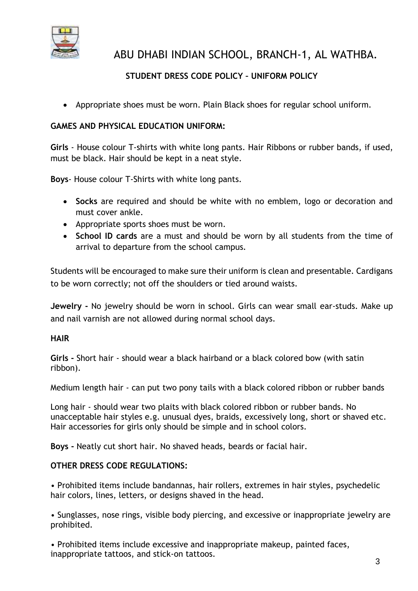

# **STUDENT DRESS CODE POLICY – UNIFORM POLICY**

• Appropriate shoes must be worn. Plain Black shoes for regular school uniform.

# **GAMES AND PHYSICAL EDUCATION UNIFORM:**

**Girls** - House colour T-shirts with white long pants. Hair Ribbons or rubber bands, if used, must be black. Hair should be kept in a neat style.

**Boys**- House colour T-Shirts with white long pants.

- **Socks** are required and should be white with no emblem, logo or decoration and must cover ankle.
- Appropriate sports shoes must be worn.
- **School ID cards** are a must and should be worn by all students from the time of arrival to departure from the school campus.

Students will be encouraged to make sure their uniform is clean and presentable. Cardigans to be worn correctly; not off the shoulders or tied around waists.

**Jewelry -** No jewelry should be worn in school. Girls can wear small ear-studs. Make up and nail varnish are not allowed during normal school days.

# **HAIR**

**Girls -** Short hair - should wear a black hairband or a black colored bow (with satin ribbon).

Medium length hair - can put two pony tails with a black colored ribbon or rubber bands

Long hair - should wear two plaits with black colored ribbon or rubber bands. No unacceptable hair styles e.g. unusual dyes, braids, excessively long, short or shaved etc. Hair accessories for girls only should be simple and in school colors.

**Boys -** Neatly cut short hair. No shaved heads, beards or facial hair.

# **OTHER DRESS CODE REGULATIONS:**

• Prohibited items include bandannas, hair rollers, extremes in hair styles, psychedelic hair colors, lines, letters, or designs shaved in the head.

• Sunglasses, nose rings, visible body piercing, and excessive or inappropriate jewelry are prohibited.

• Prohibited items include excessive and inappropriate makeup, painted faces, inappropriate tattoos, and stick-on tattoos.